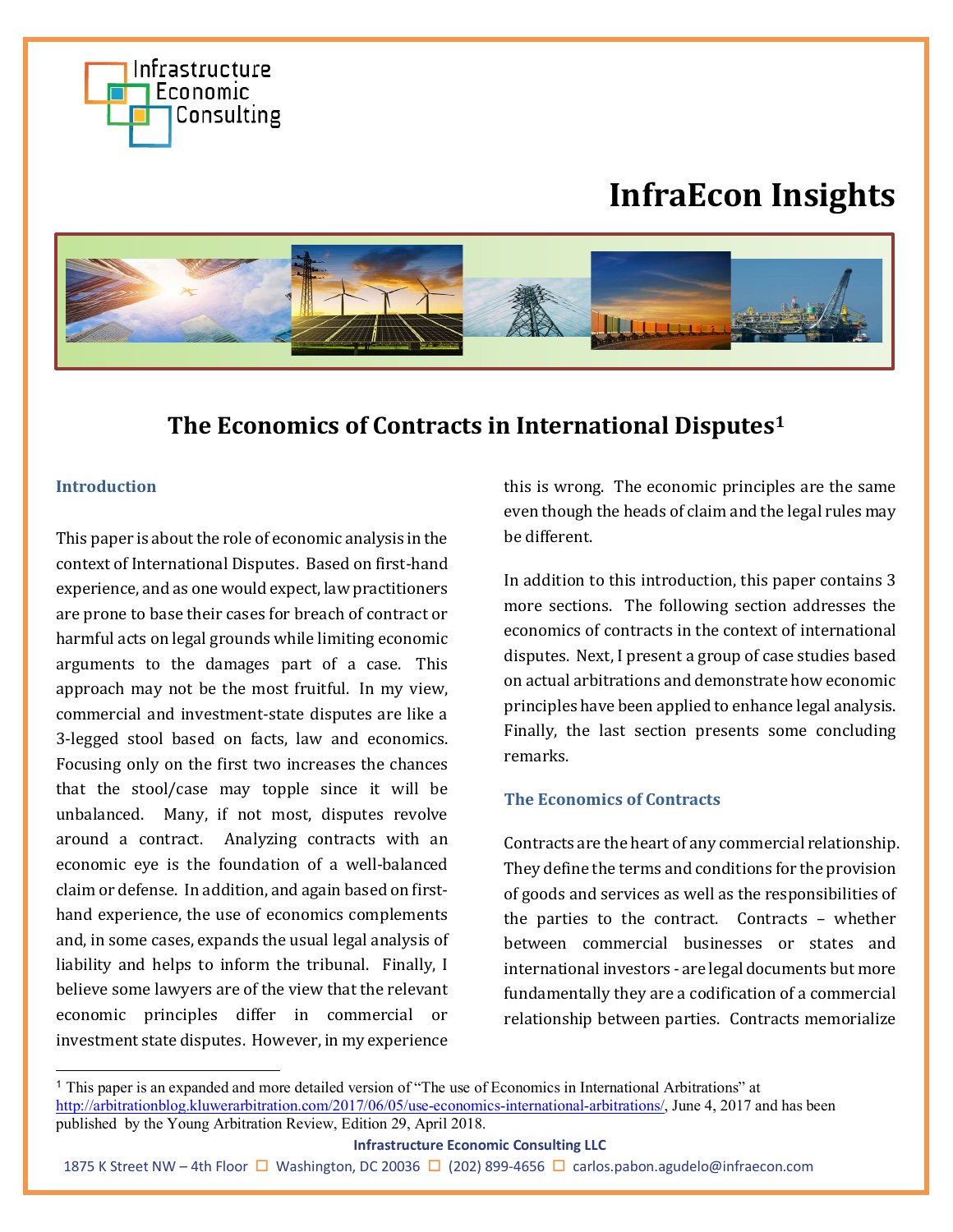

# **InfraEcon Insights**



# **The Economics of Contracts in International Disputes[1](#page-0-0)**

## **Introduction**

This paper is about the role of economic analysis in the context of International Disputes. Based on first-hand experience, and as one would expect, law practitioners are prone to base their cases for breach of contract or harmful acts on legal grounds while limiting economic arguments to the damages part of a case. This approach may not be the most fruitful. In my view, commercial and investment-state disputes are like a 3-legged stool based on facts, law and economics. Focusing only on the first two increases the chances that the stool/case may topple since it will be unbalanced. Many, if not most, disputes revolve around a contract. Analyzing contracts with an economic eye is the foundation of a well-balanced claim or defense. In addition, and again based on firsthand experience, the use of economics complements and, in some cases, expands the usual legal analysis of liability and helps to inform the tribunal. Finally, I believe some lawyers are of the view that the relevant economic principles differ in commercial or investment state disputes. However, in my experience

this is wrong. The economic principles are the same even though the heads of claim and the legal rules may be different.

In addition to this introduction, this paper contains 3 more sections. The following section addresses the economics of contracts in the context of international disputes. Next, I present a group of case studies based on actual arbitrations and demonstrate how economic principles have been applied to enhance legal analysis. Finally, the last section presents some concluding remarks.

#### **The Economics of Contracts**

Contracts are the heart of any commercial relationship. They define the terms and conditions for the provision of goods and services as well as the responsibilities of the parties to the contract. Contracts – whether between commercial businesses or states and international investors - are legal documents but more fundamentally they are a codification of a commercial relationship between parties. Contracts memorialize

#### **Infrastructure Economic Consulting LLC**

<span id="page-0-0"></span><sup>1</sup> This paper is an expanded and more detailed version of "The use of Economics in International Arbitrations" at [http://arbitrationblog.kluwerarbitration.com/2017/06/05/use-economics-international-arbitrations/,](http://arbitrationblog.kluwerarbitration.com/2017/06/05/use-economics-international-arbitrations/) June 4, 2017 and has been published by the Young Arbitration Review, Edition 29, April 2018.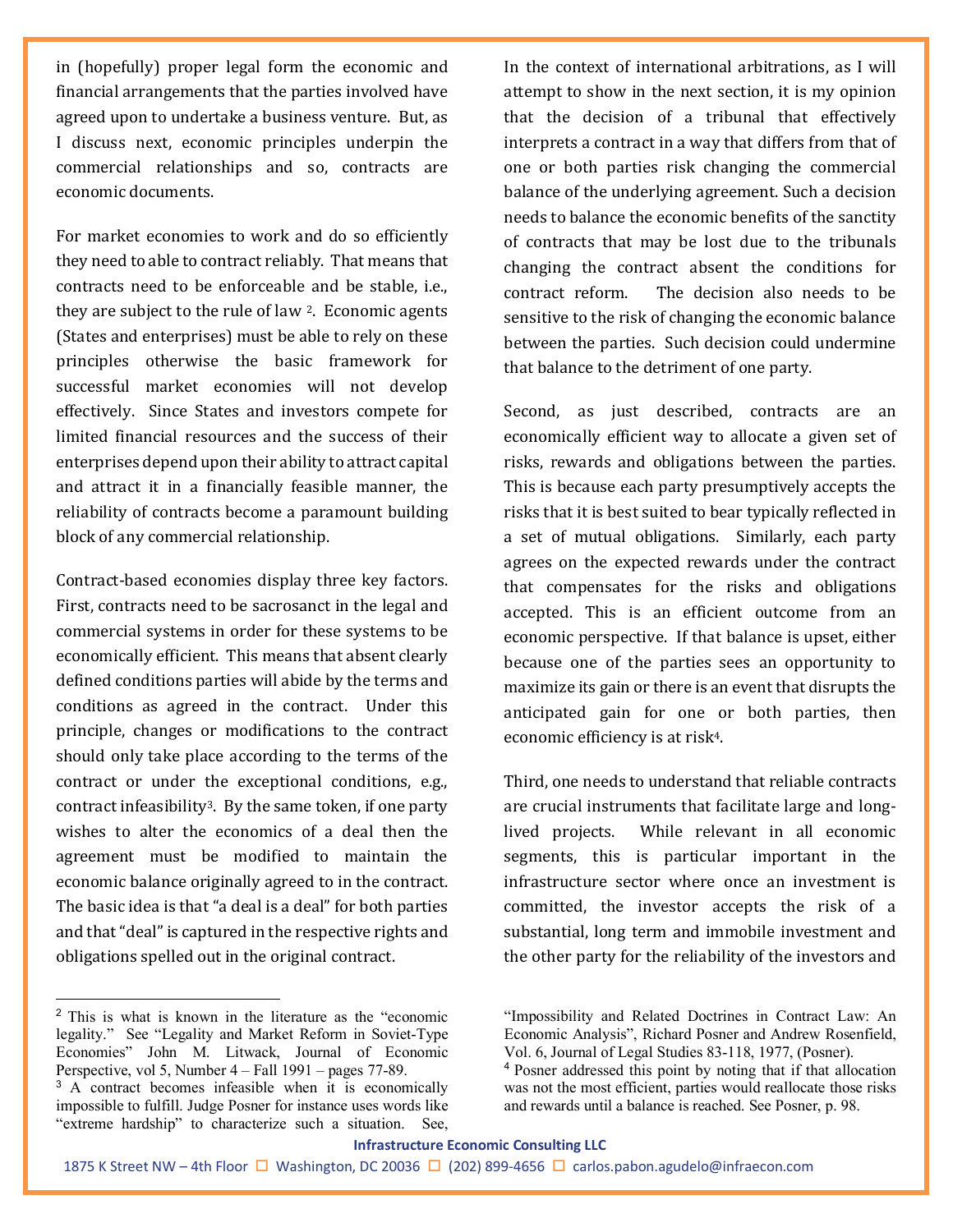in (hopefully) proper legal form the economic and financial arrangements that the parties involved have agreed upon to undertake a business venture. But, as I discuss next, economic principles underpin the commercial relationships and so, contracts are economic documents.

For market economies to work and do so efficiently they need to able to contract reliably. That means that contracts need to be enforceable and be stable, i.e., they are subject to the rule of law [2.](#page-1-0) Economic agents (States and enterprises) must be able to rely on these principles otherwise the basic framework for successful market economies will not develop effectively. Since States and investors compete for limited financial resources and the success of their enterprises depend upon their ability to attract capital and attract it in a financially feasible manner, the reliability of contracts become a paramount building block of any commercial relationship.

Contract-based economies display three key factors. First, contracts need to be sacrosanct in the legal and commercial systems in order for these systems to be economically efficient. This means that absent clearly defined conditions parties will abide by the terms and conditions as agreed in the contract. Under this principle, changes or modifications to the contract should only take place according to the terms of the contract or under the exceptional conditions, e.g., contract infeasibilit[y3](#page-1-1). By the same token, if one party wishes to alter the economics of a deal then the agreement must be modified to maintain the economic balance originally agreed to in the contract. The basic idea is that "a deal is a deal" for both parties and that "deal" is captured in the respective rights and obligations spelled out in the original contract.

<span id="page-1-0"></span><sup>2</sup> This is what is known in the literature as the "economic legality." See "Legality and Market Reform in Soviet-Type Economies" John M. Litwack, Journal of Economic Perspective, vol 5, Number 4 – Fall 1991 – pages 77-89.

In the context of international arbitrations, as I will attempt to show in the next section, it is my opinion that the decision of a tribunal that effectively interprets a contract in a way that differs from that of one or both parties risk changing the commercial balance of the underlying agreement. Such a decision needs to balance the economic benefits of the sanctity of contracts that may be lost due to the tribunals changing the contract absent the conditions for contract reform. The decision also needs to be sensitive to the risk of changing the economic balance between the parties. Such decision could undermine that balance to the detriment of one party.

Second, as just described, contracts are an economically efficient way to allocate a given set of risks, rewards and obligations between the parties. This is because each party presumptively accepts the risks that it is best suited to bear typically reflected in a set of mutual obligations. Similarly, each party agrees on the expected rewards under the contract that compensates for the risks and obligations accepted. This is an efficient outcome from an economic perspective. If that balance is upset, either because one of the parties sees an opportunity to maximize its gain or there is an event that disrupts the anticipated gain for one or both parties, then economic efficiency is at risk[4.](#page-1-2)

Third, one needs to understand that reliable contracts are crucial instruments that facilitate large and longlived projects. While relevant in all economic segments, this is particular important in the infrastructure sector where once an investment is committed, the investor accepts the risk of a substantial, long term and immobile investment and the other party for the reliability of the investors and

#### **Infrastructure Economic Consulting LLC**

<span id="page-1-2"></span><span id="page-1-1"></span><sup>&</sup>lt;sup>3</sup> A contract becomes infeasible when it is economically impossible to fulfill. Judge Posner for instance uses words like "extreme hardship" to characterize such a situation. See,

<sup>&</sup>quot;Impossibility and Related Doctrines in Contract Law: An Economic Analysis", Richard Posner and Andrew Rosenfield, Vol. 6, Journal of Legal Studies 83-118, 1977, (Posner).

<sup>4</sup> Posner addressed this point by noting that if that allocation was not the most efficient, parties would reallocate those risks and rewards until a balance is reached. See Posner, p. 98.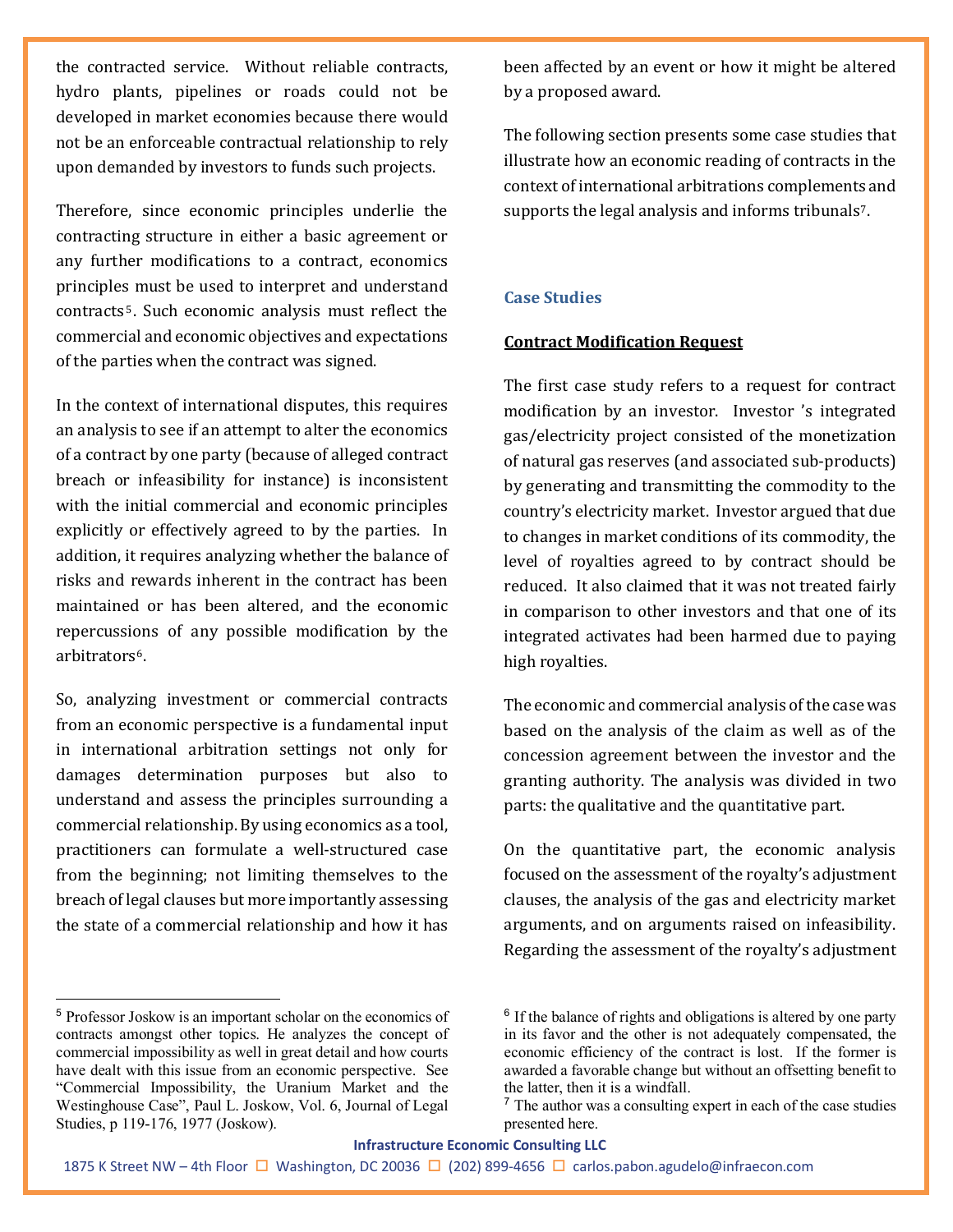the contracted service. Without reliable contracts, hydro plants, pipelines or roads could not be developed in market economies because there would not be an enforceable contractual relationship to rely upon demanded by investors to funds such projects.

Therefore, since economic principles underlie the contracting structure in either a basic agreement or any further modifications to a contract, economics principles must be used to interpret and understand contracts [5](#page-2-0). Such economic analysis must reflect the commercial and economic objectives and expectations of the parties when the contract was signed.

In the context of international disputes, this requires an analysis to see if an attempt to alter the economics of a contract by one party (because of alleged contract breach or infeasibility for instance) is inconsistent with the initial commercial and economic principles explicitly or effectively agreed to by the parties. In addition, it requires analyzing whether the balance of risks and rewards inherent in the contract has been maintained or has been altered, and the economic repercussions of any possible modification by the arbitrators[6.](#page-2-0)

So, analyzing investment or commercial contracts from an economic perspective is a fundamental input in international arbitration settings not only for damages determination purposes but also to understand and assess the principles surrounding a commercial relationship. By using economics as a tool, practitioners can formulate a well-structured case from the beginning; not limiting themselves to the breach of legal clauses but more importantly assessing the state of a commercial relationship and how it has

<span id="page-2-1"></span><span id="page-2-0"></span><sup>5</sup> Professor Joskow is an important scholar on the economics of contracts amongst other topics. He analyzes the concept of commercial impossibility as well in great detail and how courts have dealt with this issue from an economic perspective. See "Commercial Impossibility, the Uranium Market and the Westinghouse Case", Paul L. Joskow, Vol. 6, Journal of Legal Studies, p 119-176, 1977 (Joskow).

been affected by an event or how it might be altered by a proposed award.

The following section presents some case studies that illustrate how an economic reading of contracts in the context of international arbitrations complements and supports the legal analysis and informs tribunals<sup>[7](#page-2-1)</sup>.

#### **Case Studies**

#### **Contract Modification Request**

The first case study refers to a request for contract modification by an investor. Investor 's integrated gas/electricity project consisted of the monetization of natural gas reserves (and associated sub-products) by generating and transmitting the commodity to the country's electricity market. Investor argued that due to changes in market conditions of its commodity, the level of royalties agreed to by contract should be reduced. It also claimed that it was not treated fairly in comparison to other investors and that one of its integrated activates had been harmed due to paying high royalties.

The economic and commercial analysis of the case was based on the analysis of the claim as well as of the concession agreement between the investor and the granting authority. The analysis was divided in two parts: the qualitative and the quantitative part.

On the quantitative part, the economic analysis focused on the assessment of the royalty's adjustment clauses, the analysis of the gas and electricity market arguments, and on arguments raised on infeasibility. Regarding the assessment of the royalty's adjustment

#### **Infrastructure Economic Consulting LLC**

 $6$  If the balance of rights and obligations is altered by one party in its favor and the other is not adequately compensated, the economic efficiency of the contract is lost. If the former is awarded a favorable change but without an offsetting benefit to the latter, then it is a windfall.

 $<sup>7</sup>$  The author was a consulting expert in each of the case studies</sup> presented here.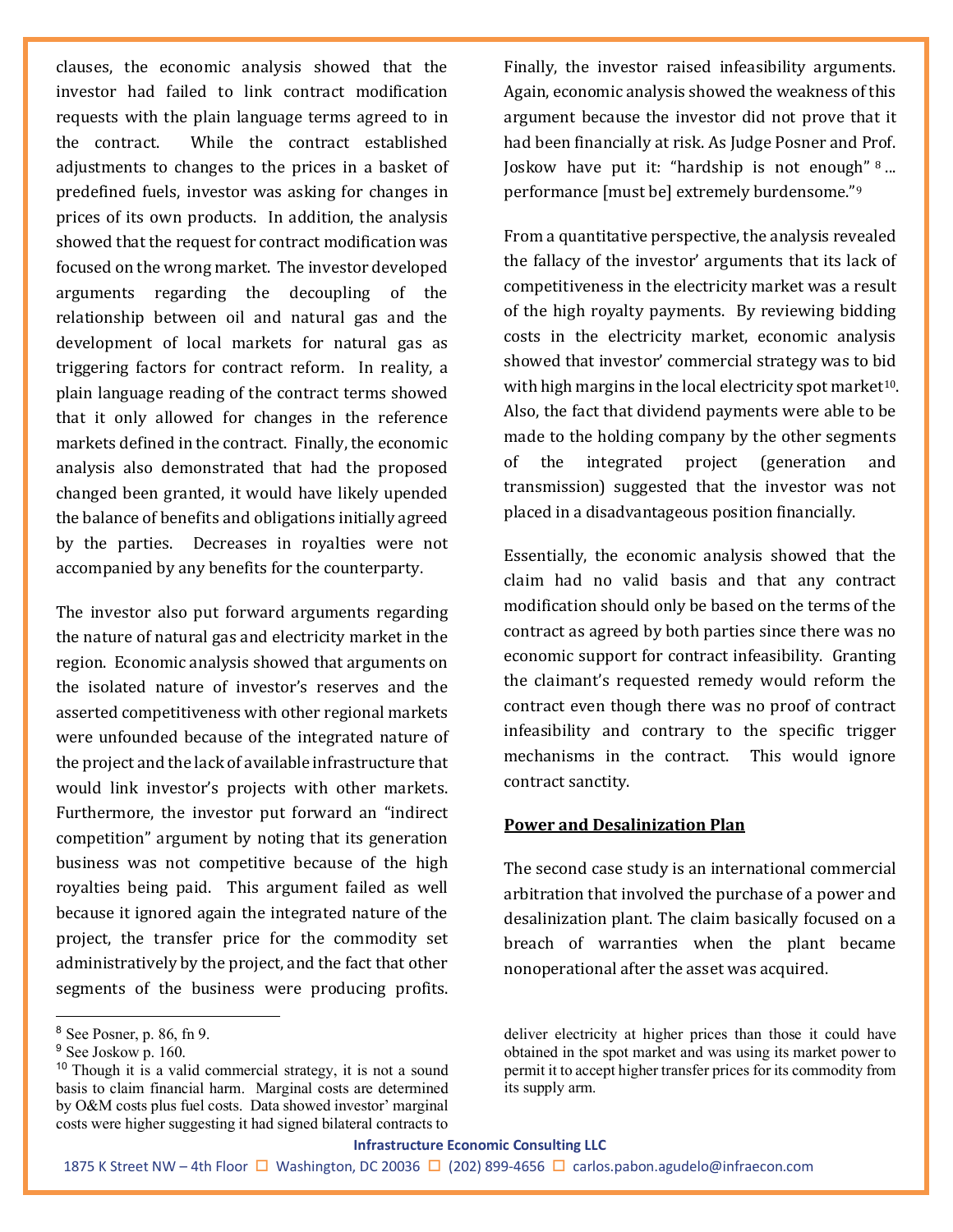clauses, the economic analysis showed that the investor had failed to link contract modification requests with the plain language terms agreed to in the contract. While the contract established adjustments to changes to the prices in a basket of predefined fuels, investor was asking for changes in prices of its own products. In addition, the analysis showed that the request for contract modification was focused on the wrong market. The investor developed arguments regarding the decoupling of the relationship between oil and natural gas and the development of local markets for natural gas as triggering factors for contract reform. In reality, a plain language reading of the contract terms showed that it only allowed for changes in the reference markets defined in the contract. Finally, the economic analysis also demonstrated that had the proposed changed been granted, it would have likely upended the balance of benefits and obligations initially agreed by the parties. Decreases in royalties were not accompanied by any benefits for the counterparty.

The investor also put forward arguments regarding the nature of natural gas and electricity market in the region. Economic analysis showed that arguments on the isolated nature of investor's reserves and the asserted competitiveness with other regional markets were unfounded because of the integrated nature of the project and the lack of available infrastructure that would link investor's projects with other markets. Furthermore, the investor put forward an "indirect competition" argument by noting that its generation business was not competitive because of the high royalties being paid. This argument failed as well because it ignored again the integrated nature of the project, the transfer price for the commodity set administratively by the project, and the fact that other segments of the business were producing profits.

Finally, the investor raised infeasibility arguments. Again, economic analysis showed the weakness of this argument because the investor did not prove that it had been financially at risk. As Judge Posner and Prof. Joskow have put it: "hardship is not enough" [8](#page-3-0) ... performance [must be] extremely burdensome."[9](#page-3-1)

From a quantitative perspective, the analysis revealed the fallacy of the investor' arguments that its lack of competitiveness in the electricity market was a result of the high royalty payments. By reviewing bidding costs in the electricity market, economic analysis showed that investor' commercial strategy was to bid with high margins in the local electricity spot market<sup>[10](#page-3-2)</sup>. Also, the fact that dividend payments were able to be made to the holding company by the other segments of the integrated project (generation and transmission) suggested that the investor was not placed in a disadvantageous position financially.

Essentially, the economic analysis showed that the claim had no valid basis and that any contract modification should only be based on the terms of the contract as agreed by both parties since there was no economic support for contract infeasibility. Granting the claimant's requested remedy would reform the contract even though there was no proof of contract infeasibility and contrary to the specific trigger mechanisms in the contract. This would ignore contract sanctity.

# **Power and Desalinization Plan**

The second case study is an international commercial arbitration that involved the purchase of a power and desalinization plant. The claim basically focused on a breach of warranties when the plant became nonoperational after the asset was acquired.

<span id="page-3-0"></span><sup>8</sup> See Posner, p. 86, fn 9.

<span id="page-3-1"></span><sup>&</sup>lt;sup>9</sup> See Joskow p. 160.

<span id="page-3-2"></span><sup>&</sup>lt;sup>10</sup> Though it is a valid commercial strategy, it is not a sound basis to claim financial harm. Marginal costs are determined by O&M costs plus fuel costs. Data showed investor' marginal costs were higher suggesting it had signed bilateral contracts to

deliver electricity at higher prices than those it could have obtained in the spot market and was using its market power to permit it to accept higher transfer prices for its commodity from its supply arm.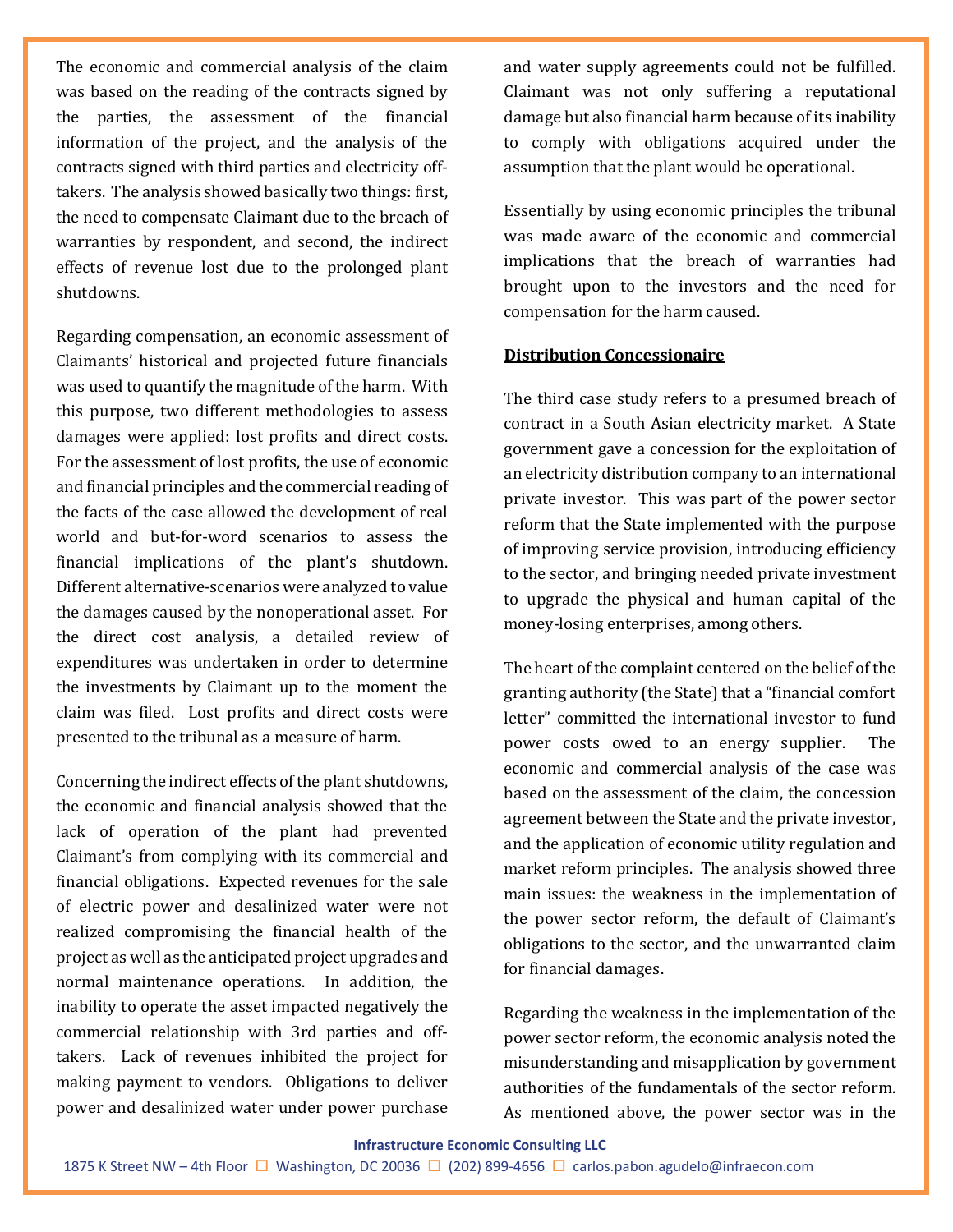The economic and commercial analysis of the claim was based on the reading of the contracts signed by the parties, the assessment of the financial information of the project, and the analysis of the contracts signed with third parties and electricity offtakers. The analysis showed basically two things: first, the need to compensate Claimant due to the breach of warranties by respondent, and second, the indirect effects of revenue lost due to the prolonged plant shutdowns.

Regarding compensation, an economic assessment of Claimants' historical and projected future financials was used to quantify the magnitude of the harm. With this purpose, two different methodologies to assess damages were applied: lost profits and direct costs. For the assessment of lost profits, the use of economic and financial principles and the commercial reading of the facts of the case allowed the development of real world and but-for-word scenarios to assess the financial implications of the plant's shutdown. Different alternative-scenarios were analyzed to value the damages caused by the nonoperational asset. For the direct cost analysis, a detailed review of expenditures was undertaken in order to determine the investments by Claimant up to the moment the claim was filed. Lost profits and direct costs were presented to the tribunal as a measure of harm.

Concerning the indirect effects of the plant shutdowns, the economic and financial analysis showed that the lack of operation of the plant had prevented Claimant's from complying with its commercial and financial obligations. Expected revenues for the sale of electric power and desalinized water were not realized compromising the financial health of the project as well as the anticipated project upgrades and normal maintenance operations. In addition, the inability to operate the asset impacted negatively the commercial relationship with 3rd parties and offtakers. Lack of revenues inhibited the project for making payment to vendors. Obligations to deliver power and desalinized water under power purchase

and water supply agreements could not be fulfilled. Claimant was not only suffering a reputational damage but also financial harm because of its inability to comply with obligations acquired under the assumption that the plant would be operational.

Essentially by using economic principles the tribunal was made aware of the economic and commercial implications that the breach of warranties had brought upon to the investors and the need for compensation for the harm caused.

## **Distribution Concessionaire**

The third case study refers to a presumed breach of contract in a South Asian electricity market. A State government gave a concession for the exploitation of an electricity distribution company to an international private investor. This was part of the power sector reform that the State implemented with the purpose of improving service provision, introducing efficiency to the sector, and bringing needed private investment to upgrade the physical and human capital of the money-losing enterprises, among others.

The heart of the complaint centered on the belief of the granting authority (the State) that a "financial comfort letter" committed the international investor to fund power costs owed to an energy supplier. The economic and commercial analysis of the case was based on the assessment of the claim, the concession agreement between the State and the private investor, and the application of economic utility regulation and market reform principles. The analysis showed three main issues: the weakness in the implementation of the power sector reform, the default of Claimant's obligations to the sector, and the unwarranted claim for financial damages.

Regarding the weakness in the implementation of the power sector reform, the economic analysis noted the misunderstanding and misapplication by government authorities of the fundamentals of the sector reform. As mentioned above, the power sector was in the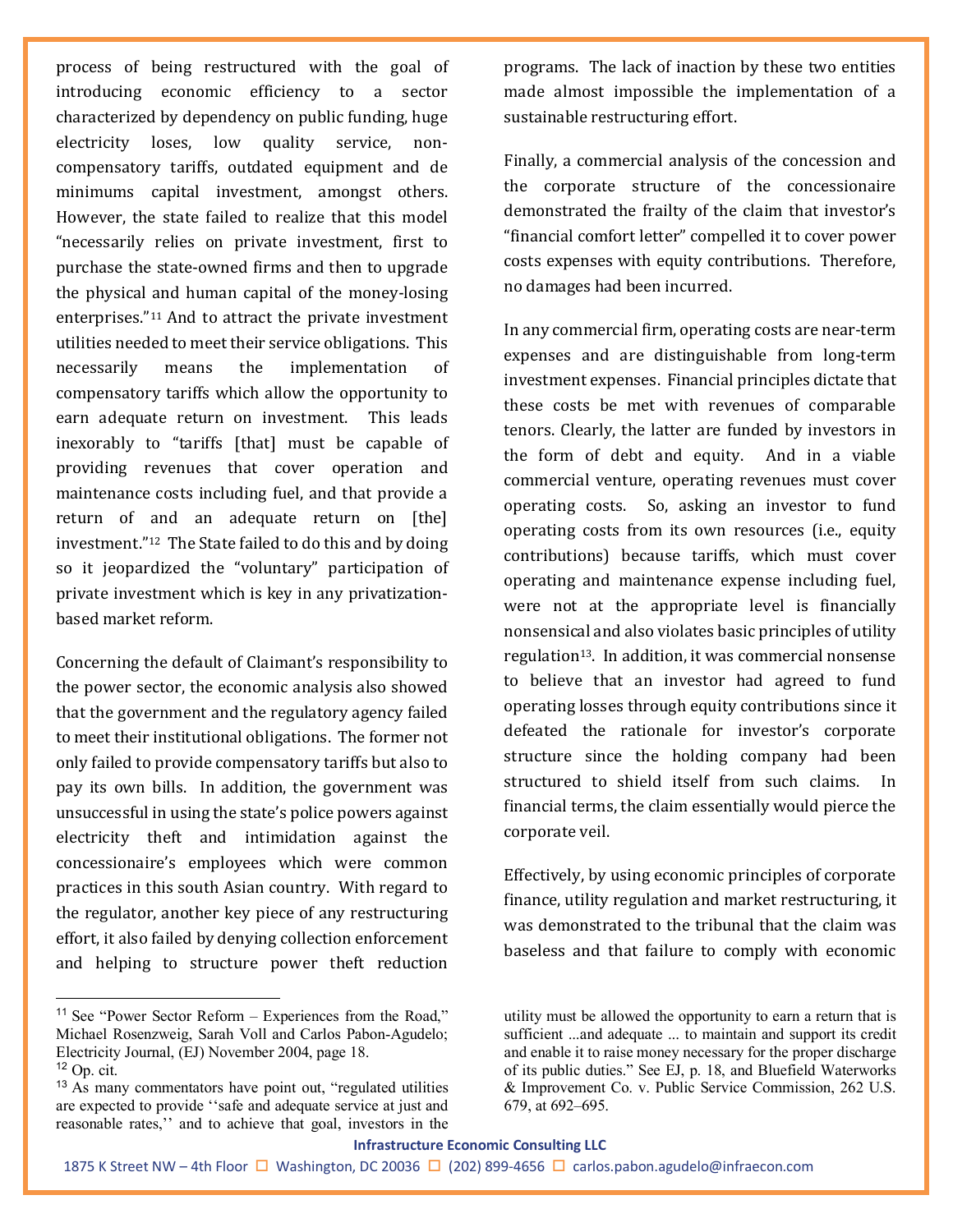process of being restructured with the goal of introducing economic efficiency to a sector characterized by dependency on public funding, huge electricity loses, low quality service, noncompensatory tariffs, outdated equipment and de minimums capital investment, amongst others. However, the state failed to realize that this model "necessarily relies on private investment, first to purchase the state-owned firms and then to upgrade the physical and human capital of the money-losing enterprises."[11](#page-5-0) And to attract the private investment utilities needed to meet their service obligations. This necessarily means the implementation of compensatory tariffs which allow the opportunity to earn adequate return on investment. This leads inexorably to "tariffs [that] must be capable of providing revenues that cover operation and maintenance costs including fuel, and that provide a return of and an adequate return on [the] investment."[12](#page-5-1) The State failed to do this and by doing so it jeopardized the "voluntary" participation of private investment which is key in any privatizationbased market reform.

Concerning the default of Claimant's responsibility to the power sector, the economic analysis also showed that the government and the regulatory agency failed to meet their institutional obligations. The former not only failed to provide compensatory tariffs but also to pay its own bills. In addition, the government was unsuccessful in using the state's police powers against electricity theft and intimidation against the concessionaire's employees which were common practices in this south Asian country. With regard to the regulator, another key piece of any restructuring effort, it also failed by denying collection enforcement and helping to structure power theft reduction

<span id="page-5-0"></span><sup>11</sup> See "Power Sector Reform – Experiences from the Road," Michael Rosenzweig, Sarah Voll and Carlos Pabon-Agudelo; Electricity Journal, (EJ) November 2004, page 18.  $12$  Op. cit.

<span id="page-5-2"></span><span id="page-5-1"></span><sup>13</sup> As many commentators have point out, "regulated utilities are expected to provide ''safe and adequate service at just and reasonable rates,'' and to achieve that goal, investors in the programs. The lack of inaction by these two entities made almost impossible the implementation of a sustainable restructuring effort.

Finally, a commercial analysis of the concession and the corporate structure of the concessionaire demonstrated the frailty of the claim that investor's "financial comfort letter" compelled it to cover power costs expenses with equity contributions. Therefore, no damages had been incurred.

In any commercial firm, operating costs are near-term expenses and are distinguishable from long-term investment expenses. Financial principles dictate that these costs be met with revenues of comparable tenors. Clearly, the latter are funded by investors in the form of debt and equity. And in a viable commercial venture, operating revenues must cover operating costs. So, asking an investor to fund operating costs from its own resources (i.e., equity contributions) because tariffs, which must cover operating and maintenance expense including fuel, were not at the appropriate level is financially nonsensical and also violates basic principles of utility regulation[13.](#page-5-2) In addition, it was commercial nonsense to believe that an investor had agreed to fund operating losses through equity contributions since it defeated the rationale for investor's corporate structure since the holding company had been structured to shield itself from such claims. In financial terms, the claim essentially would pierce the corporate veil.

Effectively, by using economic principles of corporate finance, utility regulation and market restructuring, it was demonstrated to the tribunal that the claim was baseless and that failure to comply with economic

#### **Infrastructure Economic Consulting LLC**

utility must be allowed the opportunity to earn a return that is sufficient ...and adequate ... to maintain and support its credit and enable it to raise money necessary for the proper discharge of its public duties." See EJ, p. 18, and Bluefield Waterworks & Improvement Co. v. Public Service Commission, 262 U.S. 679, at 692–695.